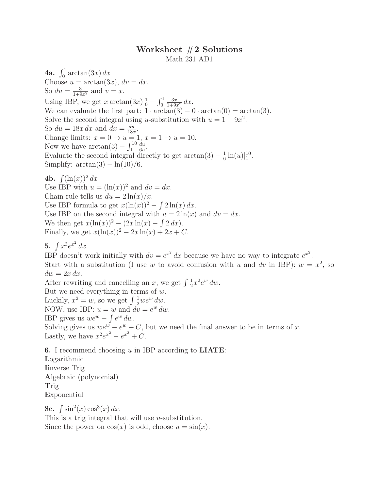## Worksheet #2 Solutions Math 231 AD1

**4a.**  $\int_0^1 \arctan(3x) dx$ Choose  $u = \arctan(3x)$ ,  $dv = dx$ . So  $du = \frac{3}{1+9x^2}$  and  $v = x$ . Using IBP, we get  $x \arctan(3x)|_0^1 - \int_0^1$  $\frac{3x}{1+9x^2} dx$ . We can evaluate the first part:  $1 \cdot \arctan(3) - 0 \cdot \arctan(0) = \arctan(3)$ . Solve the second integral using u-substitution with  $u = 1 + 9x^2$ . So  $du = 18x dx$  and  $dx = \frac{du}{18x}$  $\frac{du}{18x}$ . Change limits:  $x = 0 \rightarrow u = 1, x = 1 \rightarrow u = 10$ . Now we have  $\arctan(3) - \int_1^{10}$ du  $\frac{du}{6u}$ . Evaluate the second integral directly to get  $\arctan(3) - \frac{1}{6}$  $\frac{1}{6} \ln(u) \vert_1^{10}.$ Simplify:  $arctan(3) - ln(10)/6$ .

4b.  $\int (\ln(x))^2 dx$ Use IBP with  $u = (\ln(x))^2$  and  $dv = dx$ . Chain rule tells us  $du = 2 \ln(x)/x$ . Use IBP formula to get  $x(\ln(x))^2 - \int 2\ln(x) dx$ . Use IBP on the second integral with  $u = 2\ln(x)$  and  $dv = dx$ . We then get  $x(\ln(x))^2 - (2x\ln(x) - \int 2 dx)$ . Finally, we get  $x(\ln(x))^2 - 2x \ln(x) + 2x + C$ .

5.  $\int x^3 e^{x^2} dx$ 

IBP doesn't work initially with  $dv = e^{x^2} dx$  because we have no way to integrate  $e^{x^2}$ . Start with a substitution (I use w to avoid confusion with u and dv in IBP):  $w = x^2$ , so  $dw = 2x dx$ .

After rewriting and cancelling an x, we get  $\int \frac{1}{2}$  $\frac{1}{2}x^2e^w dw.$ But we need everything in terms of  $w$ . Luckily,  $x^2 = w$ , so we get  $\int \frac{1}{2} w e^w dw$ . NOW, use IBP:  $u = w$  and  $\overrightarrow{dv} = e^w dw$ . IBP gives us  $we^w - \int e^w dw$ . Solving gives us  $we^{w} - e^{w} + C$ , but we need the final answer to be in terms of x. Lastly, we have  $x^2 e^{x^2} - e^{x^2} + C$ .

**6.** I recommend choosing  $u$  in IBP according to **LIATE**:

Logarithmic Iinverse Trig Algebraic (polynomial) Trig Exponential

8c.  $\int \sin^2(x) \cos^3(x) dx$ . This is a trig integral that will use u-substitution. Since the power on  $cos(x)$  is odd, choose  $u = sin(x)$ .